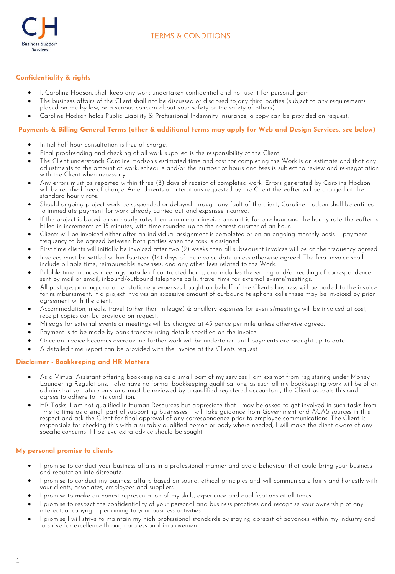

# **Confidentiality & rights**

- I, Caroline Hodson, shall keep any work undertaken confidential and not use it for personal gain
- The business affairs of the Client shall not be discussed or disclosed to any third parties (subject to any requirements placed on me by law, or a serious concern about your safety or the safety of others).
- Caroline Hodson holds Public Liability & Professional Indemnity Insurance, a copy can be provided on request.

# **Payments & Billing General Terms (other & additional terms may apply for Web and Design Services, see below)**

- Initial half-hour consultation is free of charge.
- Final proofreading and checking of all work supplied is the responsibility of the Client.
- The Client understands Caroline Hodson's estimated time and cost for completing the Work is an estimate and that any adjustments to the amount of work, schedule and/or the number of hours and fees is subject to review and re-negotiation with the Client when necessary.
- Any errors must be reported within three (3) days of receipt of completed work. Errors generated by Caroline Hodson will be rectified free of charge. Amendments or alterations requested by the Client thereafter will be charged at the standard hourly rate.
- Should ongoing project work be suspended or delayed through any fault of the client, Caroline Hodson shall be entitled to immediate payment for work already carried out and expenses incurred.
- If the project is based on an hourly rate, then a minimum invoice amount is for one hour and the hourly rate thereafter is billed in increments of 15 minutes, with time rounded up to the nearest quarter of an hour.
- Clients will be invoiced either after an individual assignment is completed or on an ongoing monthly basis payment frequency to be agreed between both parties when the task is assigned.
- First time clients will initially be invoiced after two (2) weeks then all subsequent invoices will be at the frequency agreed.
- Invoices must be settled within fourteen (14) days of the invoice date unless otherwise agreed. The final invoice shall include billable time, reimbursable expenses, and any other fees related to the Work.
- Billable time includes meetings outside of contracted hours, and includes the writing and/or reading of correspondence sent by mail or email, inbound/outbound telephone calls, travel time for external events/meetings.
- All postage, printing and other stationery expenses bought on behalf of the Client's business will be added to the invoice For reimbursement. If a project involves an excessive amount of outbound telephone calls these may be invoiced by prior agreement with the client.
- Accommodation, meals, travel (other than mileage) & ancillary expenses for events/meetings will be invoiced at cost, receipt copies can be provided on request.
- Mileage for external events or meetings will be charged at 45 pence per mile unless otherwise agreed.
- Payment is to be made by bank transfer using details specified on the invoice.
- Once an invoice becomes overdue, no further work will be undertaken until payments are brought up to date..
- A detailed time report can be provided with the invoice at the Clients request.

# **Disclaimer - Bookkeeping and HR Matters**

- As a Virtual Assistant offering bookkeeping as a small part of my services I am exempt from registering under Money Laundering Regulations, I also have no formal bookkeeping qualifications, as such all my bookkeeping work will be of an administrative nature only and must be reviewed by a qualified registered accountant, the Client accepts this and agrees to adhere to this condition.
- HR Tasks, I am not qualified in Human Resources but appreciate that I may be asked to get involved in such tasks from time to time as a small part of supporting businesses, I will take guidance from Government and ACAS sources in this respect and ask the Client for final approval of any correspondence prior to employee communications. The Client is responsible for checking this with a suitably qualified person or body where needed, I will make the client aware of any specific concerns if I believe extra advice should be sought.

# **My personal promise to clients**

- I promise to conduct your business affairs in a professional manner and avoid behaviour that could bring your business and reputation into disrepute.
- I promise to conduct my business affairs based on sound, ethical principles and will communicate fairly and honestly with your clients, associates, employees and suppliers.
- I promise to make an honest representation of my skills, experience and qualifications at all times.
- I promise to respect the confidentiality of your personal and business practices and recognise your ownership of any intellectual copyright pertaining to your business activities.
- I promise I will strive to maintain my high professional standards by staying abreast of advances within my industry and to strive for excellence through professional improvement.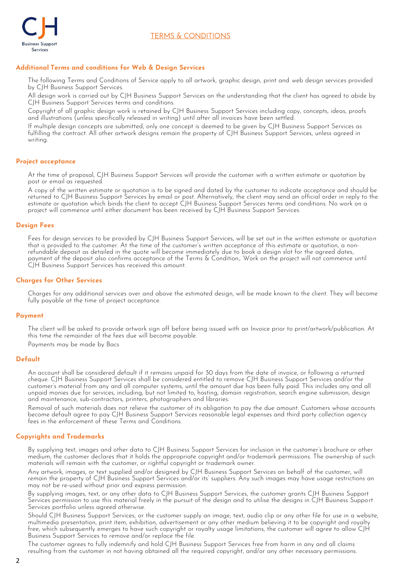



# **Additional Terms and conditions for Web & Design Services**

The following Terms and Conditions of Service apply to all artwork, graphic design, print and web design services provided by CJH Business Support Services.

All design work is carried out by CJH Business Support Services on the understanding that the client has agreed to abide by CJH Business Support Services terms and conditions.

Copyright of all graphic design work is retained by CJH Business Support Services including copy, concepts, ideas, proofs and illustrations (unless specifically released in writing) until after all invoices have been settled.

If multiple design concepts are submitted, only one concept is deemed to be given by CJH Business Support Services as fulfilling the contract. All other artwork designs remain the property of CJH Business Support Services, unless agreed in writing.

# **Project acceptance**

At the time of proposal, CJH Business Support Services will provide the customer with a written estimate or quotation by post or email as requested.

A copy of the written estimate or quotation is to be signed and dated by the customer to indicate acceptance and should be returned to CJH Business Support Services by email or post. Alternatively, the client may send an official order in reply to the estimate or quotation which binds the client to accept CJH Business Support Services terms and conditions. No work on a project will commence until either document has been received by CJH Business Support Services.

# **Design Fees**

Fees for design services to be provided by CJH Business Support Services, will be set out in the written estimate or quotation that is provided to the customer. At the time of the customer's written acceptance of this estimate or quotation, a nonrefundable deposit as detailed in the quote will become immediately due to book a design slot for the agreed dates, payment of the deposit also confirms acceptance of the Terms & Condition,. Work on the project will not commence until CJH Business Support Services has received this amount.

# **Charges for Other Services**

Charges for any additional services over and above the estimated design, will be made known to the client. They will become fully payable at the time of project acceptance.

#### **Payment**

The client will be asked to provide artwork sign off before being issued with an Invoice prior to print/artwork/publication. At this time the remainder of the fees due will become payable. Payments may be made by Bacs

# **Default**

An account shall be considered default if it remains unpaid for 30 days from the date of invoice, or following a returned cheque. CJH Business Support Services shall be considered entitled to remove CJH Business Support Services and/or the customer's material from any and all computer systems, until the amount due has been fully paid. This includes any and all unpaid monies due for services, including, but not limited to, hosting, domain registration, search engine submission, design and maintenance, sub-contractors, printers, photographers and libraries.

Removal of such materials does not relieve the customer of its obligation to pay the due amount. Customers whose accounts become default agree to pay CJH Business Support Services reasonable legal expenses and third party collection agency fees in the enforcement of these Terms and Conditions.

# **Copyrights and Trademarks**

By supplying text, images and other data to CJH Business Support Services for inclusion in the customer's brochure or other medium, the customer declares that it holds the appropriate copyright and/or trademark permissions. The ownership of such materials will remain with the customer, or rightful copyright or trademark owner.

Any artwork, images, or text supplied and/or designed by CJH Business Support Services on behalf of the customer, will remain the property of CJH Business Support Services and/or its' suppliers. Any such images may have usage restrictions an may not be re-used without prior and express permission.

By supplying images, text, or any other data to CJH Business Support Services, the customer grants CJH Business Support Services permission to use this material freely in the pursuit of the design and to utilise the designs in CJH Business Support Services portfolio unless agreed otherwise.

Should CJH Business Support Services, or the customer supply an image, text, audio clip or any other file for use in a website, multimedia presentation, print item, exhibition, advertisement or any other medium believing it to be copyright and royalty free, which subsequently emerges to have such copyright or royalty usage limitations, the customer will agree to allow CJH Business Support Services to remove and/or replace the file.

The customer agrees to fully indemnify and hold CJH Business Support Services free from harm in any and all claims resulting from the customer in not having obtained all the required copyright, and/or any other necessary permissions.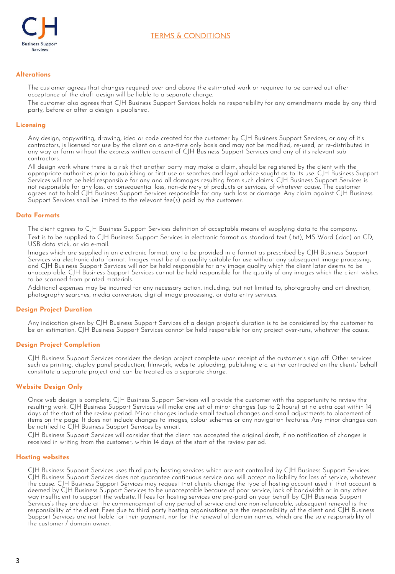

# **TERMS & CONDITIONS**

# **Alterations**

The customer agrees that changes required over and above the estimated work or required to be carried out after acceptance of the draft design will be liable to a separate charge.

The customer also agrees that CJH Business Support Services holds no responsibility for any amendments made by any third party, before or after a design is published.

### **Licensing**

Any design, copywriting, drawing, idea or code created for the customer by CJH Business Support Services, or any of it's contractors, is licensed for use by the client on a one-time only basis and may not be modified, re-used, or re-distributed in any way or form without the express written consent of CJH Business Support Services and any of it's relevant subcontractors.

All design work where there is a risk that another party may make a claim, should be registered by the client with the appropriate authorities prior to publishing or first use or searches and legal advice sought as to its use. CJH Business Support Services will not be held responsible for any and all damages resulting from such claims. CJH Business Support Services is not responsible for any loss, or consequential loss, non-delivery of products or services, of whatever cause. The customer agrees not to hold CJH Business Support Services responsible for any such loss or damage. Any claim against CJH Business Support Services shall be limited to the relevant fee(s) paid by the customer.

#### **Data Formats**

The client agrees to CJH Business Support Services definition of acceptable means of supplying data to the company. Text is to be supplied to CJH Business Support Services in electronic format as standard text (.txt), MS Word (.doc) on CD, USB data stick, or via e-mail.

Images which are supplied in an electronic format, are to be provided in a format as prescribed by CJH Business Support Services via electronic data format. Images must be of a quality suitable for use without any subsequent image processing, and CJH Business Support Services will not be held responsible for any image quality which the client later deems to be unacceptable. CJH Business Support Services cannot be held responsible for the quality of any images which the client wishes to be scanned from printed materials.

Additional expenses may be incurred for any necessary action, including, but not limited to, photography and art direction, photography searches, media conversion, digital image processing, or data entry services.

#### **Design Project Duration**

Any indication given by CJH Business Support Services of a design project's duration is to be considered by the customer to be an estimation. CJH Business Support Services cannot be held responsible for any project over-runs, whatever the cause.

#### **Design Project Completion**

CJH Business Support Services considers the design project complete upon receipt of the customer's sign off. Other services such as printing, display panel production, filmwork, website uploading, publishing etc. either contracted on the clients' behalf constitute a separate project and can be treated as a separate charge.

# **Website Design Only**

Once web design is complete, CJH Business Support Services will provide the customer with the opportunity to review the resulting work. CJH Business Support Services will make one set of minor changes (up to 2 hours) at no extra cost within 14 days of the start of the review period. Minor changes include small textual changes and small adjustments to placement of items on the page. It does not include changes to images, colour schemes or any navigation features. Any minor changes can be notified to CJH Business Support Services by email.

CJH Business Support Services will consider that the client has accepted the original draft, if no notification of changes is received in writing from the customer, within 14 days of the start of the review period.

#### **Hosting websites**

CJH Business Support Services uses third party hosting services which are not controlled by CJH Business Support Services. CJH Business Support Services does not guarantee continuous service and will accept no liability for loss of service, whatever the cause. CJH Business Support Services may request that clients change the type of hosting account used if that account is deemed by CJH Business Support Services to be unacceptable because of poor service, lack of bandwidth or in any other way insufficient to support the website. If fees for hosting services are pre-paid on your behalf by CJH Business Support Services's they are due at the commencement of any period of service and are non-refundable, subsequent renewal is the responsibility of the client. Fees due to third party hosting organisations are the responsibility of the client and CJH Business Support Services are not liable for their payment, nor for the renewal of domain names, which are the sole responsibility of the customer / domain owner.